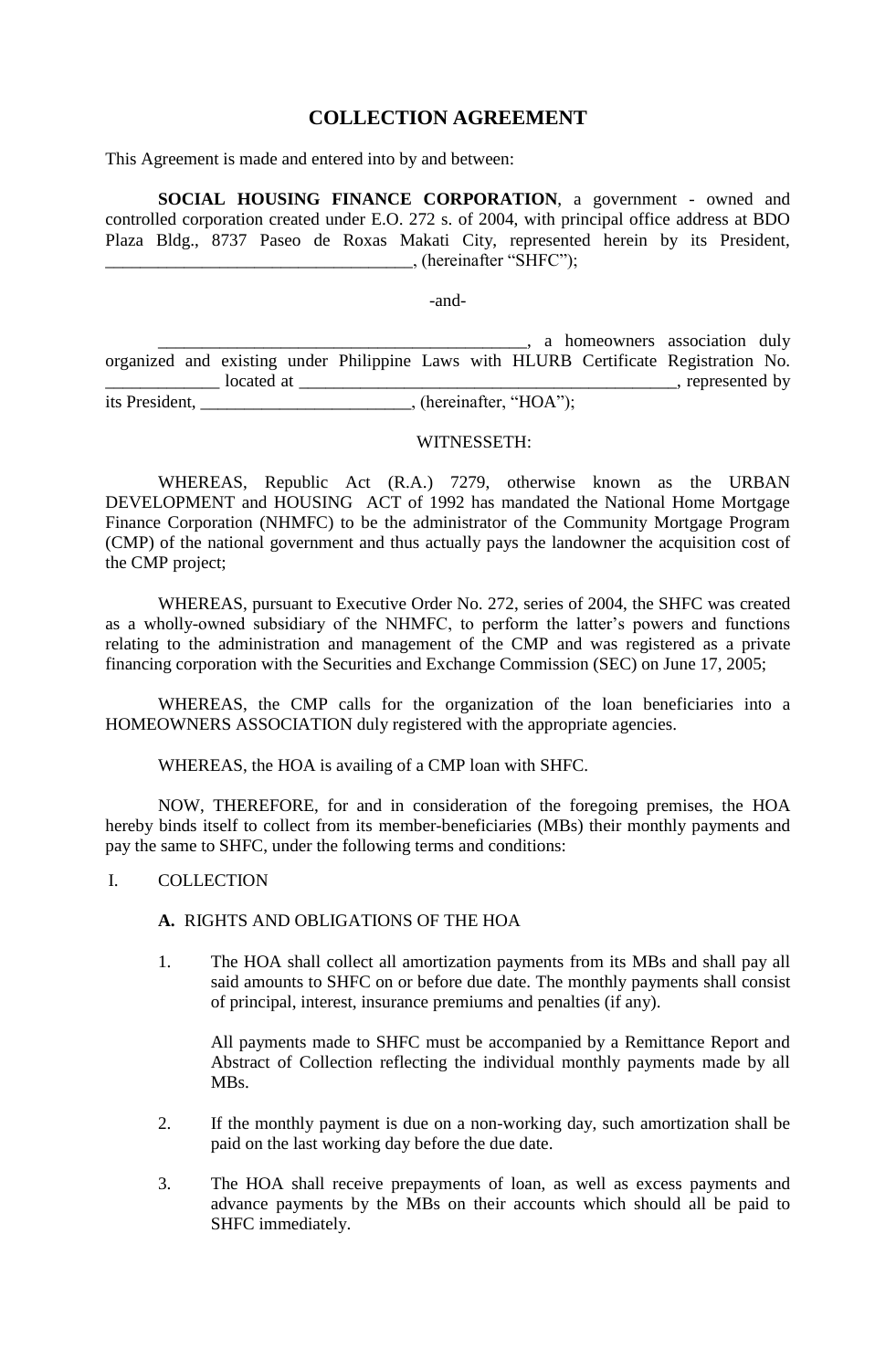# **COLLECTION AGREEMENT**

This Agreement is made and entered into by and between:

**SOCIAL HOUSING FINANCE CORPORATION**, a government - owned and controlled corporation created under E.O. 272 s. of 2004, with principal office address at BDO Plaza Bldg., 8737 Paseo de Roxas Makati City, represented herein by its President,  $\Box$ , (hereinafter "SHFC");

-and-

\_\_\_\_\_\_\_\_\_\_\_\_\_\_\_\_\_\_\_\_\_\_\_\_\_\_\_\_\_\_\_\_\_\_\_\_\_\_\_\_\_\_, a homeowners association duly organized and existing under Philippine Laws with HLURB Certificate Registration No. \_\_\_\_\_\_\_\_\_\_\_\_\_ located at \_\_\_\_\_\_\_\_\_\_\_\_\_\_\_\_\_\_\_\_\_\_\_\_\_\_\_\_\_\_\_\_\_\_\_\_\_\_\_\_\_\_\_, represented by its President,  $(hereinafter, "HOA");$ 

WITNESSETH:

WHEREAS, Republic Act (R.A.) 7279, otherwise known as the URBAN DEVELOPMENT and HOUSING ACT of 1992 has mandated the National Home Mortgage Finance Corporation (NHMFC) to be the administrator of the Community Mortgage Program (CMP) of the national government and thus actually pays the landowner the acquisition cost of the CMP project;

WHEREAS, pursuant to Executive Order No. 272, series of 2004, the SHFC was created as a wholly-owned subsidiary of the NHMFC, to perform the latter's powers and functions relating to the administration and management of the CMP and was registered as a private financing corporation with the Securities and Exchange Commission (SEC) on June 17, 2005;

WHEREAS, the CMP calls for the organization of the loan beneficiaries into a HOMEOWNERS ASSOCIATION duly registered with the appropriate agencies.

WHEREAS, the HOA is availing of a CMP loan with SHFC.

NOW, THEREFORE, for and in consideration of the foregoing premises, the HOA hereby binds itself to collect from its member-beneficiaries (MBs) their monthly payments and pay the same to SHFC, under the following terms and conditions:

#### I. COLLECTION

**A.** RIGHTS AND OBLIGATIONS OF THE HOA

1. The HOA shall collect all amortization payments from its MBs and shall pay all said amounts to SHFC on or before due date. The monthly payments shall consist of principal, interest, insurance premiums and penalties (if any).

All payments made to SHFC must be accompanied by a Remittance Report and Abstract of Collection reflecting the individual monthly payments made by all MBs.

- 2. If the monthly payment is due on a non-working day, such amortization shall be paid on the last working day before the due date.
- 3. The HOA shall receive prepayments of loan, as well as excess payments and advance payments by the MBs on their accounts which should all be paid to SHFC immediately.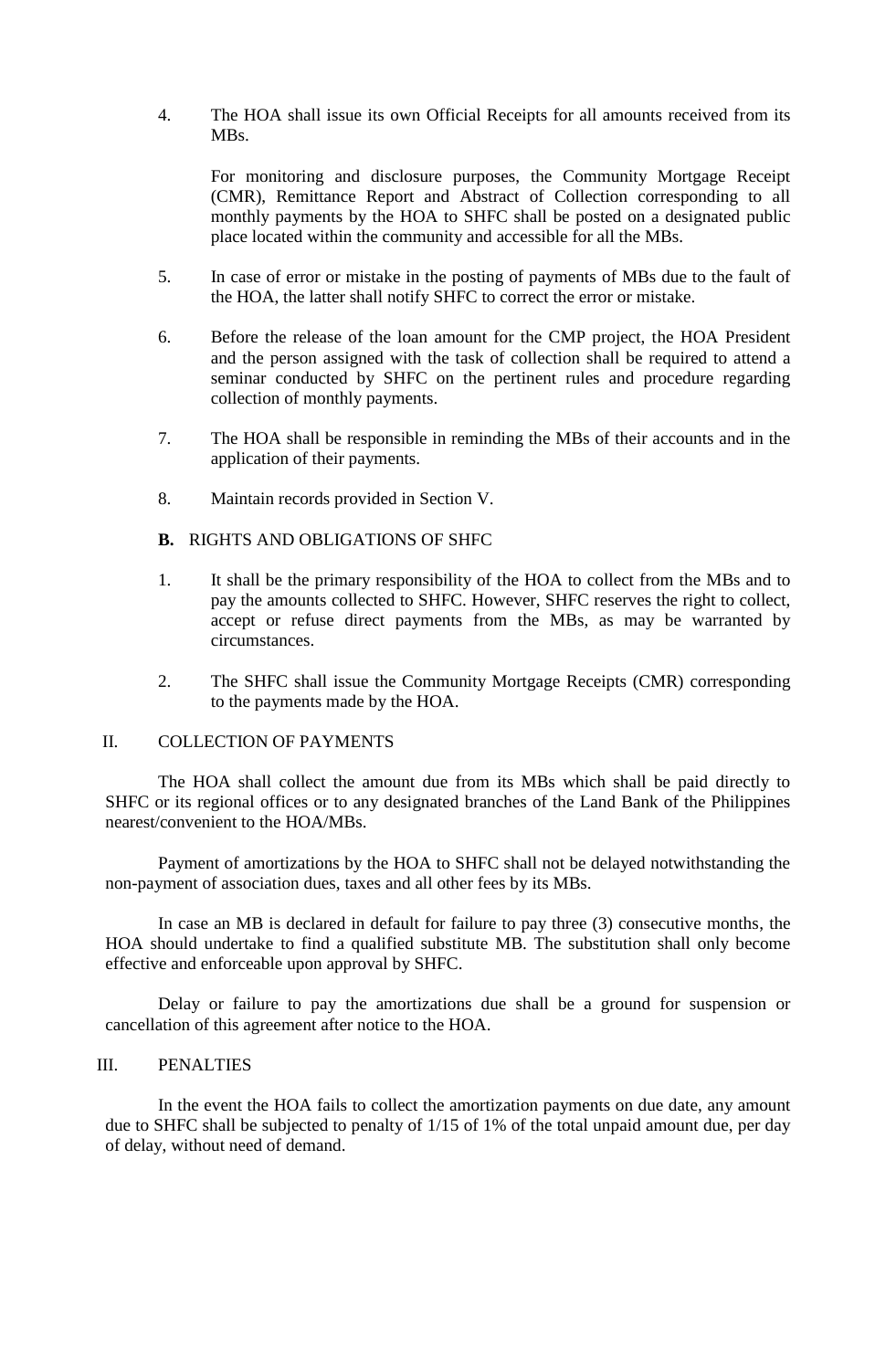4. The HOA shall issue its own Official Receipts for all amounts received from its MBs.

For monitoring and disclosure purposes, the Community Mortgage Receipt (CMR), Remittance Report and Abstract of Collection corresponding to all monthly payments by the HOA to SHFC shall be posted on a designated public place located within the community and accessible for all the MBs.

- 5. In case of error or mistake in the posting of payments of MBs due to the fault of the HOA, the latter shall notify SHFC to correct the error or mistake.
- 6. Before the release of the loan amount for the CMP project, the HOA President and the person assigned with the task of collection shall be required to attend a seminar conducted by SHFC on the pertinent rules and procedure regarding collection of monthly payments.
- 7. The HOA shall be responsible in reminding the MBs of their accounts and in the application of their payments.
- 8. Maintain records provided in Section V.

### **B.** RIGHTS AND OBLIGATIONS OF SHFC

- 1. It shall be the primary responsibility of the HOA to collect from the MBs and to pay the amounts collected to SHFC. However, SHFC reserves the right to collect, accept or refuse direct payments from the MBs, as may be warranted by circumstances.
- 2. The SHFC shall issue the Community Mortgage Receipts (CMR) corresponding to the payments made by the HOA.

#### II. COLLECTION OF PAYMENTS

The HOA shall collect the amount due from its MBs which shall be paid directly to SHFC or its regional offices or to any designated branches of the Land Bank of the Philippines nearest/convenient to the HOA/MBs.

Payment of amortizations by the HOA to SHFC shall not be delayed notwithstanding the non-payment of association dues, taxes and all other fees by its MBs.

In case an MB is declared in default for failure to pay three (3) consecutive months, the HOA should undertake to find a qualified substitute MB. The substitution shall only become effective and enforceable upon approval by SHFC.

Delay or failure to pay the amortizations due shall be a ground for suspension or cancellation of this agreement after notice to the HOA.

#### III. PENALTIES

In the event the HOA fails to collect the amortization payments on due date, any amount due to SHFC shall be subjected to penalty of 1/15 of 1% of the total unpaid amount due, per day of delay, without need of demand.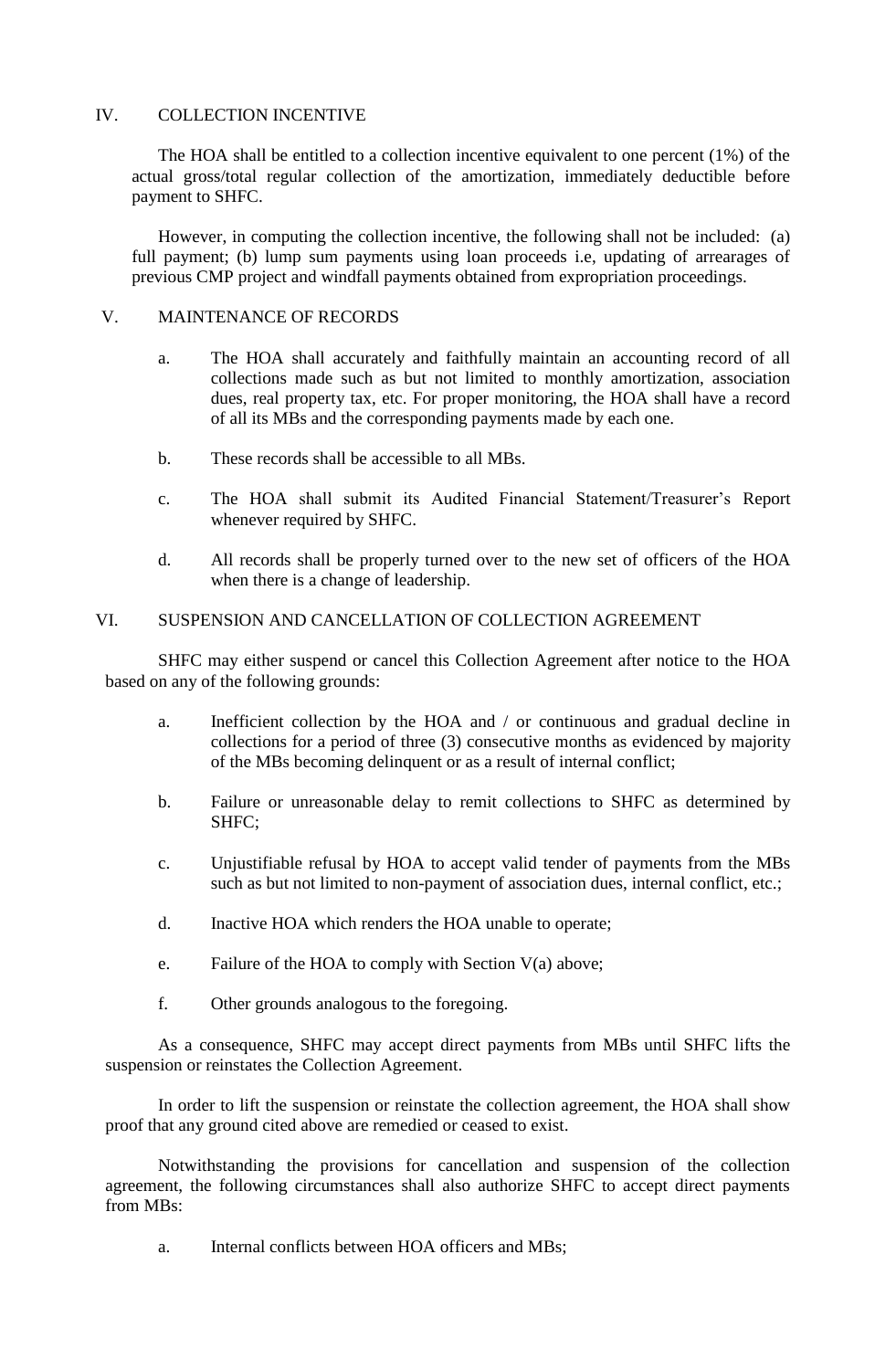## IV. COLLECTION INCENTIVE

The HOA shall be entitled to a collection incentive equivalent to one percent (1%) of the actual gross/total regular collection of the amortization, immediately deductible before payment to SHFC.

However, in computing the collection incentive, the following shall not be included: (a) full payment; (b) lump sum payments using loan proceeds i.e, updating of arrearages of previous CMP project and windfall payments obtained from expropriation proceedings.

## V. MAINTENANCE OF RECORDS

- a. The HOA shall accurately and faithfully maintain an accounting record of all collections made such as but not limited to monthly amortization, association dues, real property tax, etc. For proper monitoring, the HOA shall have a record of all its MBs and the corresponding payments made by each one.
- b. These records shall be accessible to all MBs.
- c. The HOA shall submit its Audited Financial Statement/Treasurer's Report whenever required by SHFC.
- d. All records shall be properly turned over to the new set of officers of the HOA when there is a change of leadership.

# VI. SUSPENSION AND CANCELLATION OF COLLECTION AGREEMENT

SHFC may either suspend or cancel this Collection Agreement after notice to the HOA based on any of the following grounds:

- a. Inefficient collection by the HOA and / or continuous and gradual decline in collections for a period of three (3) consecutive months as evidenced by majority of the MBs becoming delinquent or as a result of internal conflict;
- b. Failure or unreasonable delay to remit collections to SHFC as determined by SHFC;
- c. Unjustifiable refusal by HOA to accept valid tender of payments from the MBs such as but not limited to non-payment of association dues, internal conflict, etc.;
- d. Inactive HOA which renders the HOA unable to operate;
- e. Failure of the HOA to comply with Section V(a) above;
- f. Other grounds analogous to the foregoing.

As a consequence, SHFC may accept direct payments from MBs until SHFC lifts the suspension or reinstates the Collection Agreement.

In order to lift the suspension or reinstate the collection agreement, the HOA shall show proof that any ground cited above are remedied or ceased to exist.

Notwithstanding the provisions for cancellation and suspension of the collection agreement, the following circumstances shall also authorize SHFC to accept direct payments from MBs:

a. Internal conflicts between HOA officers and MBs;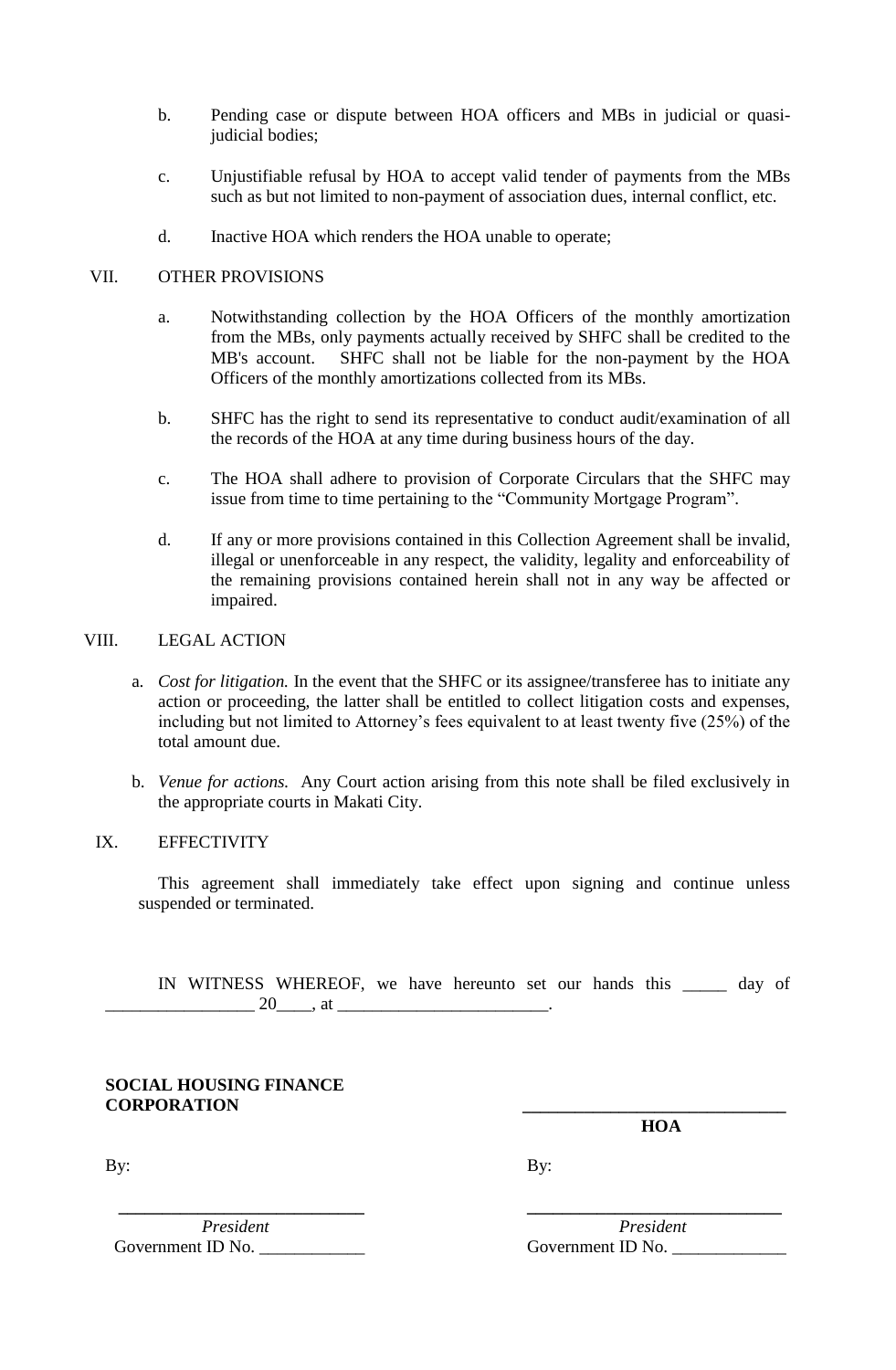- b. Pending case or dispute between HOA officers and MBs in judicial or quasijudicial bodies;
- c. Unjustifiable refusal by HOA to accept valid tender of payments from the MBs such as but not limited to non-payment of association dues, internal conflict, etc.
- d. Inactive HOA which renders the HOA unable to operate;

### VII. OTHER PROVISIONS

- a. Notwithstanding collection by the HOA Officers of the monthly amortization from the MBs, only payments actually received by SHFC shall be credited to the MB's account. SHFC shall not be liable for the non-payment by the HOA Officers of the monthly amortizations collected from its MBs.
- b. SHFC has the right to send its representative to conduct audit/examination of all the records of the HOA at any time during business hours of the day.
- c. The HOA shall adhere to provision of Corporate Circulars that the SHFC may issue from time to time pertaining to the "Community Mortgage Program".
- d. If any or more provisions contained in this Collection Agreement shall be invalid, illegal or unenforceable in any respect, the validity, legality and enforceability of the remaining provisions contained herein shall not in any way be affected or impaired.

### VIII. LEGAL ACTION

- a. *Cost for litigation.* In the event that the SHFC or its assignee/transferee has to initiate any action or proceeding, the latter shall be entitled to collect litigation costs and expenses, including but not limited to Attorney's fees equivalent to at least twenty five (25%) of the total amount due.
- b. *Venue for actions.* Any Court action arising from this note shall be filed exclusively in the appropriate courts in Makati City.

### IX. EFFECTIVITY

This agreement shall immediately take effect upon signing and continue unless suspended or terminated.

IN WITNESS WHEREOF, we have hereunto set our hands this \_\_\_\_\_ day of  $\frac{20}{\sqrt{10}}$ , at  $\frac{1}{\sqrt{10}}$ 

**SOCIAL HOUSING FINANCE CORPORATION \_\_\_\_\_\_\_\_\_\_\_\_\_\_\_\_\_\_\_\_\_\_\_\_\_\_\_\_\_\_**

 **HOA** 

By: By:

 **\_\_\_\_\_\_\_\_\_\_\_\_\_\_\_\_\_\_\_\_\_\_\_\_\_\_\_\_ \_\_\_\_\_\_\_\_\_\_\_\_\_\_\_\_\_\_\_\_\_\_\_\_\_\_\_\_\_**  Government ID No.  $\qquad \qquad$  Government ID No.

*President* President